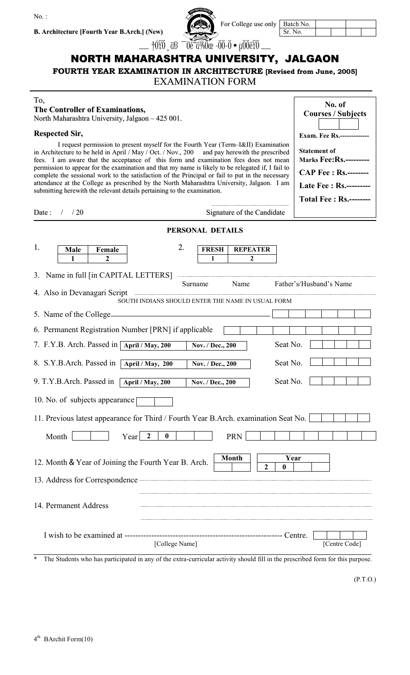$No.$ 

**B. Architecture [Fourth Year B.Arch.] (New)**

| h.] (New)           | For College use on      |
|---------------------|-------------------------|
| $+0\overline{0}$ as | 0è~0340œ -00-0 • µ00èY0 |

| only   Batch No. |  |  |  |
|------------------|--|--|--|
| Sr. No.          |  |  |  |

# NORTH MAHARASHTRA UNIVERSITY, JALGAON

**FOURTH YEAR EXAMINATION IN ARCHITECTURE [Revised from June, 2005]**

### EXAMINATION FORM

## To,

#### **The Controller of Examinations,**

North Maharashtra University, Jalgaon – 425 001.

#### **Respected Sir,**

I request permission to present myself for the Fourth Year (Term–I&II) Examination in Architecture to be held in April / May / Oct. / Nov., 200 and pay herewith the prescribed fees. I am aware that the acceptance of this form and examination fees does not mean permission to appear for the examination and that my name is likely to be relegated if, I fail to complete the sessional work to the satisfaction of the Principal or fail to put in the necessary attendance at the College as prescribed by the North Maharashtra University, Jalgaon. I am submitting herewith the relevant details pertaining to the examination.

|                     | No. of<br><b>Courses / Subjects</b><br><b>Exam.</b> Fee Rs.------------- |
|---------------------|--------------------------------------------------------------------------|
| ı<br>l<br>١         | <b>Statement of</b><br><b>Marks Fee: Rs.---------</b>                    |
| $\lambda$<br>l<br>ı | $\mathbf{CAP}$ Fee : Rs.--------<br>Late Fee: Rs.---------               |
|                     | <b>Total Fee: Rs.--------</b>                                            |

| /20<br>Date:<br>$\sqrt{2}$                                                          | Signature of the Candidate                        |                                 |  |  |
|-------------------------------------------------------------------------------------|---------------------------------------------------|---------------------------------|--|--|
| PERSONAL DETAILS                                                                    |                                                   |                                 |  |  |
| 1.<br>Female<br>Male<br>2                                                           | 2.<br><b>FRESH</b><br>1                           | <b>REPEATER</b><br>$\mathbf{2}$ |  |  |
| 3. Name in full [in CAPITAL LETTERS]<br>4. Also in Devanagari Script                | Name<br>Surname                                   | Father's/Husband's Name         |  |  |
|                                                                                     | SOUTH INDIANS SHOULD ENTER THE NAME IN USUAL FORM |                                 |  |  |
| 5. Name of the College_                                                             |                                                   |                                 |  |  |
| 6. Permanent Registration Number [PRN] if applicable                                |                                                   |                                 |  |  |
| 7. F.Y.B. Arch. Passed in April / May, 200                                          | Nov. / Dec., 200                                  | Seat No.                        |  |  |
| 8. S.Y.B.Arch. Passed in [April / May, 200]                                         | Nov. / Dec., 200                                  | Seat No.                        |  |  |
| 9. T.Y.B.Arch. Passed in<br>April / May, 200                                        | Nov. / Dec., 200                                  | Seat No.                        |  |  |
| 10. No. of subjects appearance                                                      |                                                   |                                 |  |  |
| 11. Previous latest appearance for Third / Fourth Year B.Arch. examination Seat No. |                                                   |                                 |  |  |
| $\overline{2}$<br>Month<br>Year                                                     | <b>PRN</b><br>$\bf{0}$                            |                                 |  |  |
| 12. Month & Year of Joining the Fourth Year B. Arch.                                | <b>Month</b>                                      | Year<br>$\mathbf{2}$<br>0       |  |  |
| 13. Address for Correspondence <b>Communication</b>                                 |                                                   |                                 |  |  |
| 14. Permanent Address                                                               |                                                   |                                 |  |  |
|                                                                                     | [College Name]                                    | [Centre Code]                   |  |  |

\* The Students who has participated in any of the extra-curricular activity should fill in the prescribed form for this purpose.

(P.T.O.)